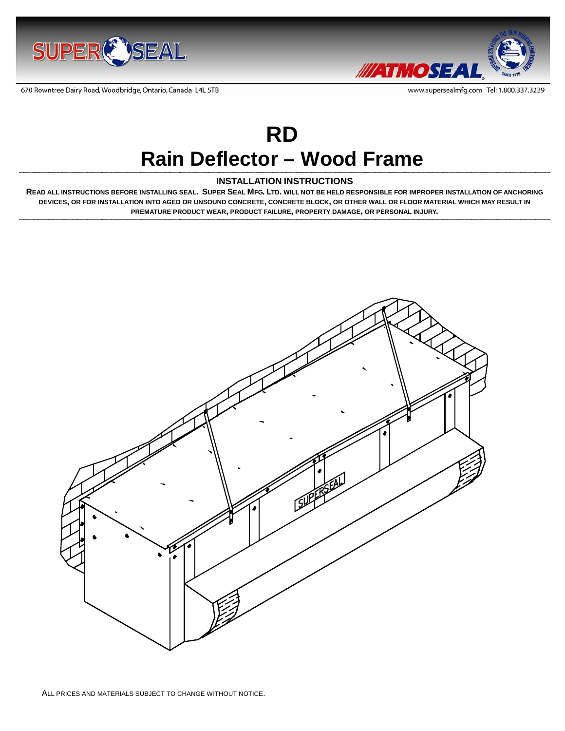



670 Rowntree Dairy Road, Woodbridge, Ontario, Canada L4L 5TB

# **RD Rain Deflector – Wood Frame**

#### **INSTALLATION INSTRUCTIONS**

**READ ALL INSTRUCTIONS BEFORE INSTALLING SEAL. SUPER SEAL MFG. LTD. WILL NOT BE HELD RESPONSIBLE FOR IMPROPER INSTALLATION OF ANCHORING DEVICES, OR FOR INSTALLATION INTO AGED OR UNSOUND CONCRETE, CONCRETE BLOCK, OR OTHER WALL OR FLOOR MATERIAL WHICH MAY RESULT IN PREMATURE PRODUCT WEAR, PRODUCT FAILURE, PROPERTY DAMAGE, OR PERSONAL INJURY.**

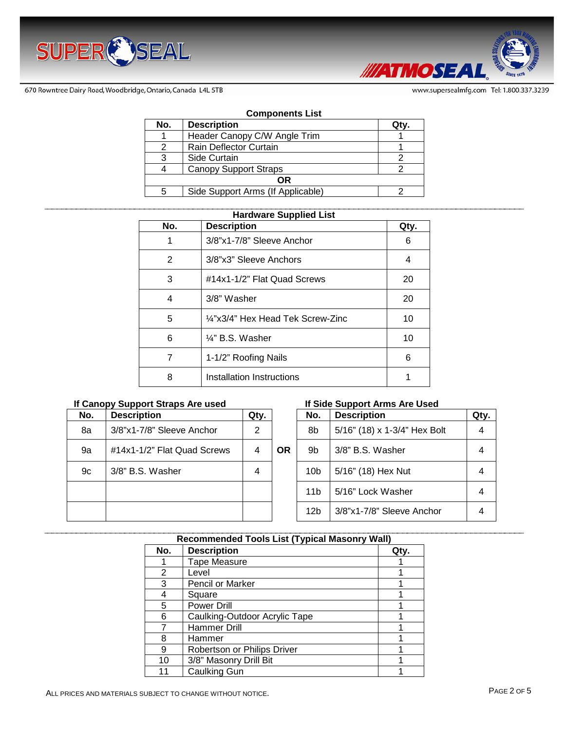



www.supersealmfg.com Tel: 1.800.337.3239

670 Rowntree Dairy Road, Woodbridge, Ontario, Canada L4L 5TB

#### **Components List**

| No. | <b>Description</b>                |  |  |  |
|-----|-----------------------------------|--|--|--|
|     | Header Canopy C/W Angle Trim      |  |  |  |
|     | Rain Deflector Curtain            |  |  |  |
| 3   | Side Curtain                      |  |  |  |
|     | <b>Canopy Support Straps</b>      |  |  |  |
| ΩR  |                                   |  |  |  |
|     | Side Support Arms (If Applicable) |  |  |  |

## **Hardware Supplied List**

| No.            | <b>Description</b>                | Qty. |
|----------------|-----------------------------------|------|
| 1              | 3/8"x1-7/8" Sleeve Anchor         | 6    |
| $\overline{2}$ | 3/8"x3" Sleeve Anchors            | 4    |
| 3              | #14x1-1/2" Flat Quad Screws       | 20   |
| 4              | 3/8" Washer                       | 20   |
| 5              | 1/4"x3/4" Hex Head Tek Screw-Zinc | 10   |
| 6              | $\frac{1}{4}$ " B.S. Washer       | 10   |
| 7              | 1-1/2" Roofing Nails              | 6    |
| 8              | Installation Instructions         |      |

### If Canopy Support Straps Are used **If Side Support Arms Are Used**

| No. | <b>Description</b>          | Qty.           |           | No.             | <b>Description</b>           | Qty. |
|-----|-----------------------------|----------------|-----------|-----------------|------------------------------|------|
| 8a  | 3/8"x1-7/8" Sleeve Anchor   | $\overline{2}$ |           | 8b              | 5/16" (18) x 1-3/4" Hex Bolt | 4    |
| 9a  | #14x1-1/2" Flat Quad Screws | 4              | <b>OR</b> | 9b              | 3/8" B.S. Washer             | 4    |
| 9c  | 3/8" B.S. Washer            | 4              |           | 10 <sub>b</sub> | 5/16" (18) Hex Nut           |      |
|     |                             |                |           | 11 <sub>b</sub> | 5/16" Lock Washer            | 4    |
|     |                             |                |           | 12 <sub>b</sub> | 3/8"x1-7/8" Sleeve Anchor    |      |

| No.             | <b>Description</b>           | Qtv. |
|-----------------|------------------------------|------|
| 8b              | 5/16" (18) x 1-3/4" Hex Bolt |      |
| 9 <sub>b</sub>  | 3/8" B.S. Washer             | 4    |
| 10 <sub>b</sub> | 5/16" (18) Hex Nut           | 4    |
| 11b             | 5/16" Lock Washer            | 4    |
| 12b             | 3/8"x1-7/8" Sleeve Anchor    | 4    |

#### **Recommended Tools List (Typical Masonry Wall)**

| No. | <b>Description</b>            | Qtv. |
|-----|-------------------------------|------|
|     | Tape Measure                  |      |
| 2   | Level                         |      |
| 3   | <b>Pencil or Marker</b>       |      |
| 4   | Square                        |      |
| 5   | <b>Power Drill</b>            |      |
| 6   | Caulking-Outdoor Acrylic Tape |      |
|     | Hammer Drill                  |      |
| 8   | Hammer                        |      |
| 9   | Robertson or Philips Driver   |      |
| 10  | 3/8" Masonry Drill Bit        |      |
| 11  | Caulking Gun                  |      |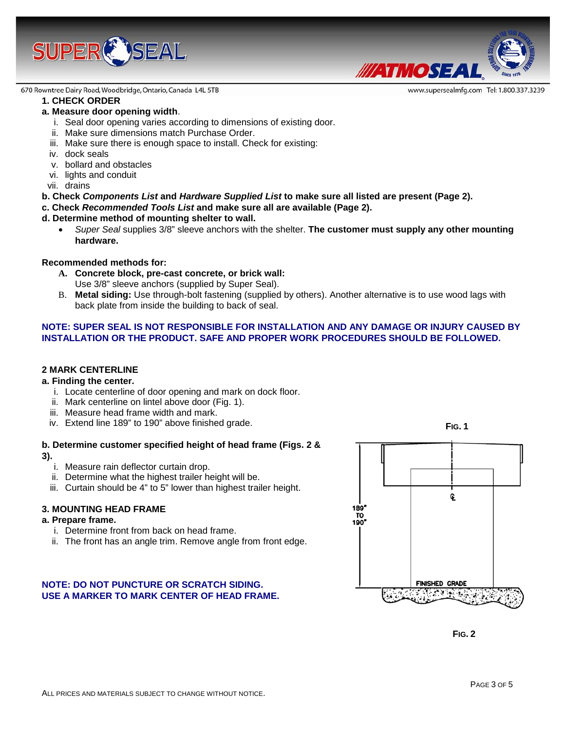



#### **1. CHECK ORDER**

#### **a. Measure door opening width**.

- i. Seal door opening varies according to dimensions of existing door.
- ii. Make sure dimensions match Purchase Order.
- iii. Make sure there is enough space to install. Check for existing:
- iv. dock seals
- v. bollard and obstacles
- vi. lights and conduit

vii. drains

#### **b. Check** *Components List* **and** *Hardware Supplied List* **to make sure all listed are present (Page 2).**

**c. Check** *Recommended Tools List* **and make sure all are available (Page 2).**

#### **d. Determine method of mounting shelter to wall.**

• *Super Seal* supplies 3/8" sleeve anchors with the shelter. **The customer must supply any other mounting hardware.**

#### **Recommended methods for:**

- **A. Concrete block, pre-cast concrete, or brick wall:**  Use 3/8" sleeve anchors (supplied by Super Seal).
- B. **Metal siding:** Use through-bolt fastening (supplied by others). Another alternative is to use wood lags with back plate from inside the building to back of seal.

#### **NOTE: SUPER SEAL IS NOT RESPONSIBLE FOR INSTALLATION AND ANY DAMAGE OR INJURY CAUSED BY INSTALLATION OR THE PRODUCT. SAFE AND PROPER WORK PROCEDURES SHOULD BE FOLLOWED.**

#### **2 MARK CENTERLINE**

#### **a. Finding the center.**

- i. Locate centerline of door opening and mark on dock floor.
- ii. Mark centerline on lintel above door (Fig. 1).
- iii. Measure head frame width and mark.
- iv. Extend line 189" to 190" above finished grade.

#### **b. Determine customer specified height of head frame (Figs. 2 &**

**3).**

- i. Measure rain deflector curtain drop.
- ii. Determine what the highest trailer height will be.
- iii. Curtain should be 4" to 5" lower than highest trailer height.

#### **3. MOUNTING HEAD FRAME**

#### **a. Prepare frame.**

- i. Determine front from back on head frame.
- ii. The front has an angle trim. Remove angle from front edge.

#### **NOTE: DO NOT PUNCTURE OR SCRATCH SIDING. USE A MARKER TO MARK CENTER OF HEAD FRAME.**



**MATMOSEA** 

www.supersealmfg.com Tel: 1.800.337.3239

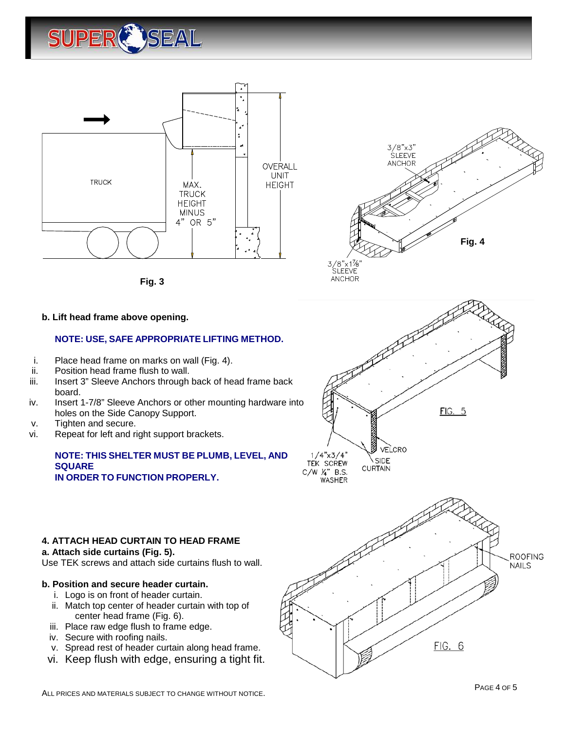



**Fig. 3**

#### **b. Lift head frame above opening.**

#### **NOTE: USE, SAFE APPROPRIATE LIFTING METHOD.**

- i. Place head frame on marks on wall (Fig. 4).
- ii. Position head frame flush to wall.
- iii. Insert 3" Sleeve Anchors through back of head frame back board.
- iv. Insert 1-7/8" Sleeve Anchors or other mounting hardware into holes on the Side Canopy Support.
- v. Tighten and secure.
- vi. Repeat for left and right support brackets.

#### **NOTE: THIS SHELTER MUST BE PLUMB, LEVEL, AND SQUARE IN ORDER TO FUNCTION PROPERLY.**



#### **a. Attach side curtains (Fig. 5).**

Use TEK screws and attach side curtains flush to wall.

#### **b. Position and secure header curtain.**

- i. Logo is on front of header curtain.
- ii. Match top center of header curtain with top of center head frame (Fig. 6).
- iii. Place raw edge flush to frame edge.
- iv. Secure with roofing nails.
- v. Spread rest of header curtain along head frame.
- vi. Keep flush with edge, ensuring a tight fit.



VEI CRO

SIDE

**CURTAIN** 

 $1/4$ " $\times$ 3/4"

**TEK SCREW** 

 $C/W$   $\chi^2$  B.S.

PAGE 4 OF 5



FIG. 5